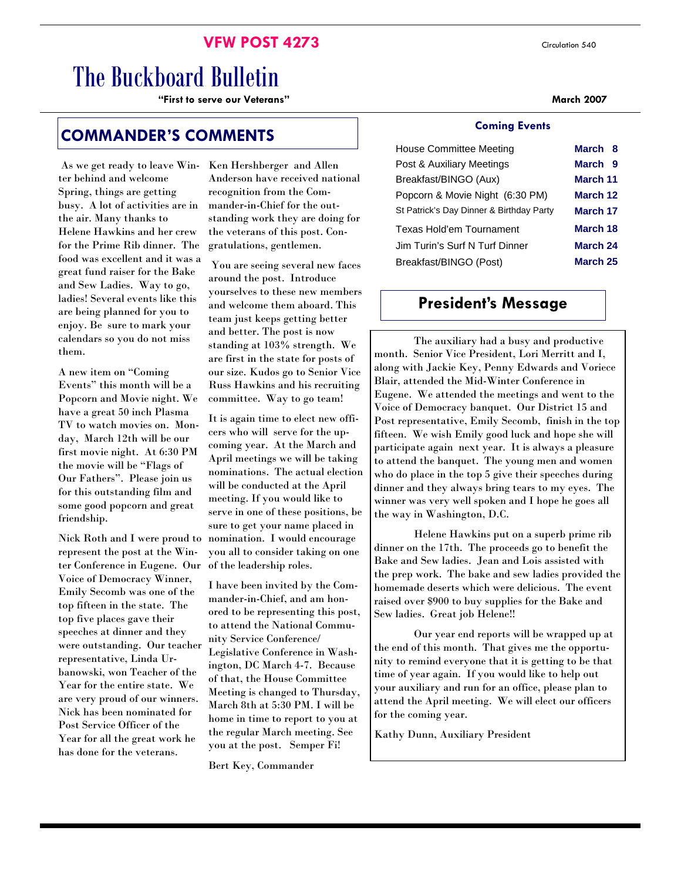# **VFW POST 4273** Circulation 540

# The Buckboard Bulletin

**"First to serve our Veterans" March 2007** 

# **COMMANDER'S COMMENTS**

 As we get ready to leave Winter behind and welcome Spring, things are getting busy. A lot of activities are in the air. Many thanks to Helene Hawkins and her crew for the Prime Rib dinner. The food was excellent and it was a great fund raiser for the Bake and Sew Ladies. Way to go, ladies! Several events like this are being planned for you to enjoy. Be sure to mark your calendars so you do not miss them.

A new item on "Coming Events" this month will be a Popcorn and Movie night. We have a great 50 inch Plasma TV to watch movies on. Monday, March 12th will be our first movie night. At 6:30 PM the movie will be "Flags of Our Fathers". Please join us for this outstanding film and some good popcorn and great friendship.

Nick Roth and I were proud to represent the post at the Winter Conference in Eugene. Our Voice of Democracy Winner, Emily Secomb was one of the top fifteen in the state. The top five places gave their speeches at dinner and they were outstanding. Our teacher representative, Linda Urbanowski, won Teacher of the Year for the entire state. We are very proud of our winners. Nick has been nominated for Post Service Officer of the Year for all the great work he has done for the veterans.

Ken Hershberger and Allen Anderson have received national recognition from the Commander-in-Chief for the outstanding work they are doing for the veterans of this post. Congratulations, gentlemen.

 You are seeing several new faces around the post. Introduce yourselves to these new members and welcome them aboard. This team just keeps getting better and better. The post is now standing at 103% strength. We are first in the state for posts of our size. Kudos go to Senior Vice Russ Hawkins and his recruiting committee. Way to go team!

It is again time to elect new officers who will serve for the upcoming year. At the March and April meetings we will be taking nominations. The actual election will be conducted at the April meeting. If you would like to serve in one of these positions, be sure to get your name placed in nomination. I would encourage you all to consider taking on one of the leadership roles.

I have been invited by the Commander-in-Chief, and am honored to be representing this post, to attend the National Community Service Conference/ Legislative Conference in Washington, DC March 4-7. Because of that, the House Committee Meeting is changed to Thursday, March 8th at 5:30 PM. I will be home in time to report to you at the regular March meeting. See you at the post. Semper Fi!

Bert Key, Commander

#### **Coming Events**

| House Committee Meeting                  | March 8            |  |
|------------------------------------------|--------------------|--|
| Post & Auxiliary Meetings                | March <sub>9</sub> |  |
| Breakfast/BINGO (Aux)                    | March 11           |  |
| Popcorn & Movie Night (6:30 PM)          | March 12           |  |
| St Patrick's Day Dinner & Birthday Party | March 17           |  |
| Texas Hold'em Tournament                 | March 18           |  |
| Jim Turin's Surf N Turf Dinner           | March 24           |  |
| Breakfast/BINGO (Post)                   | March 25           |  |

# **President's Message**

 The auxiliary had a busy and productive month. Senior Vice President, Lori Merritt and I, along with Jackie Key, Penny Edwards and Voriece Blair, attended the Mid-Winter Conference in Eugene. We attended the meetings and went to the Voice of Democracy banquet. Our District 15 and Post representative, Emily Secomb, finish in the top fifteen. We wish Emily good luck and hope she will participate again next year. It is always a pleasure to attend the banquet. The young men and women who do place in the top 5 give their speeches during dinner and they always bring tears to my eyes. The winner was very well spoken and I hope he goes all the way in Washington, D.C.

 Helene Hawkins put on a superb prime rib dinner on the 17th. The proceeds go to benefit the Bake and Sew ladies. Jean and Lois assisted with the prep work. The bake and sew ladies provided the homemade deserts which were delicious. The event raised over \$900 to buy supplies for the Bake and Sew ladies. Great job Helene!!

 Our year end reports will be wrapped up at the end of this month. That gives me the opportunity to remind everyone that it is getting to be that time of year again. If you would like to help out your auxiliary and run for an office, please plan to attend the April meeting. We will elect our officers for the coming year.

Kathy Dunn, Auxiliary President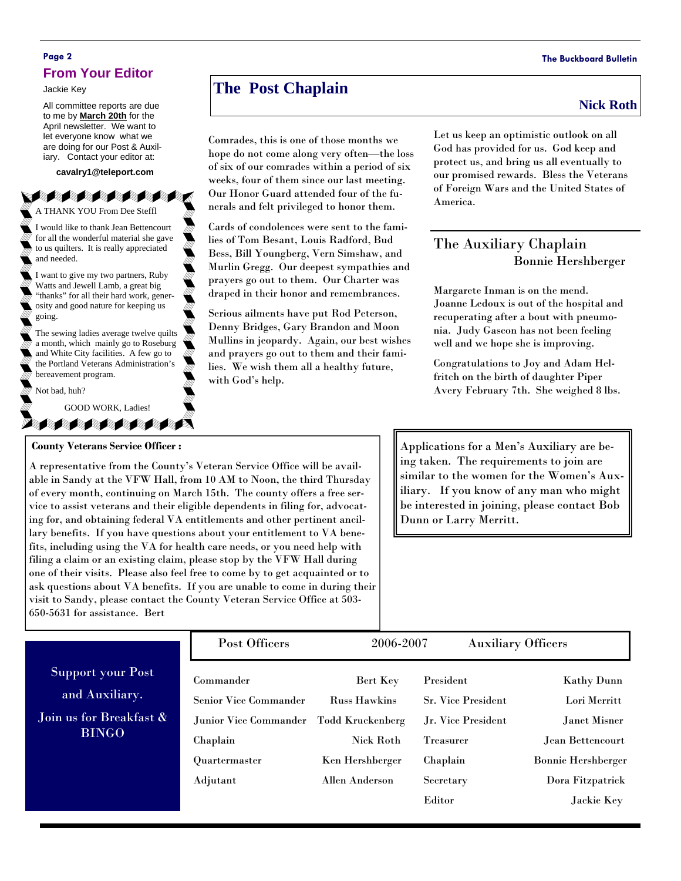### **Page 2 The Buckboard Bulletin From Your Editor**

Jackie Key

All committee reports are due to me by **March 20th** for the April newsletter. We want to let everyone know what we are doing for our Post & Auxiliary. Contact your editor at:

**cavalry1@teleport.com** 

A THANK YOU From Dee Steffl

I would like to thank Jean Bettencourt for all the wonderful material she gave to us quilters. It is really appreciated and needed.

I want to give my two partners, Ruby Watts and Jewell Lamb, a great big "thanks" for all their hard work, generosity and good nature for keeping us going.

The sewing ladies average twelve quilts a month, which mainly go to Roseburg and White City facilities. A few go to the Portland Veterans Administration's bereavement program.

Not bad, huh?

GOOD WORK, Ladies!

#### **County Veterans Service Officer :**

**SAMARA** 

A representative from the County's Veteran Service Office will be available in Sandy at the VFW Hall, from 10 AM to Noon, the third Thursday of every month, continuing on March 15th. The county offers a free service to assist veterans and their eligible dependents in filing for, advocating for, and obtaining federal VA entitlements and other pertinent ancillary benefits. If you have questions about your entitlement to VA benefits, including using the VA for health care needs, or you need help with filing a claim or an existing claim, please stop by the VFW Hall during one of their visits. Please also feel free to come by to get acquainted or to ask questions about VA benefits. If you are unable to come in during their visit to Sandy, please contact the County Veteran Service Office at 503- 650-5631 for assistance. Bert

Applications for a Men's Auxiliary are being taken. The requirements to join are similar to the women for the Women's Auxiliary. If you know of any man who might be interested in joining, please contact Bob Dunn or Larry Merritt.

| weeks, four of them since our fast meeting. |
|---------------------------------------------|
| Our Honor Guard attended four of the fu-    |
| nerals and felt privileged to honor them.   |
| Cards of condolences were sent to the fami- |
| lies of Tom Besant, Louis Radford, Bud      |
| Bess, Bill Youngberg, Vern Simshaw, and     |

Comrades, this is one of those months we hope do not come along very often—the loss of six of our comrades within a period of six weeks, four of them since our last meeting.

Bess, Bill Youngberg, Vern Simshaw, and Murlin Gregg. Our deepest sympathies and prayers go out to them. Our Charter was draped in their honor and remembrances.

Serious ailments have put Rod Peterson, Denny Bridges, Gary Brandon and Moon Mullins in jeopardy. Again, our best wishes and prayers go out to them and their families. We wish them all a healthy future, with God's help.

# **The Post Chaplain** Nick Roth **Nick Roth**

Let us keep an optimistic outlook on all God has provided for us. God keep and protect us, and bring us all eventually to our promised rewards. Bless the Veterans of Foreign Wars and the United States of America.

# The Auxiliary Chaplain Bonnie Hershberger

Margarete Inman is on the mend. Joanne Ledoux is out of the hospital and recuperating after a bout with pneumonia. Judy Gascon has not been feeling well and we hope she is improving.

Congratulations to Joy and Adam Helfritch on the birth of daughter Piper Avery February 7th. She weighed 8 lbs.

|                                                                                       | Post Officers                                                                  | 2006-2007                                                                      | <b>Auxiliary Officers</b>                                                        |                                                                       |
|---------------------------------------------------------------------------------------|--------------------------------------------------------------------------------|--------------------------------------------------------------------------------|----------------------------------------------------------------------------------|-----------------------------------------------------------------------|
| <b>Support your Post</b><br>and Auxiliary.<br>Join us for Breakfast &<br><b>BINGO</b> | Commander<br><b>Senior Vice Commander</b><br>Junior Vice Commander<br>Chaplain | Bert Key<br><b>Russ Hawkins</b><br><b>Todd Kruckenberg</b><br><b>Nick Roth</b> | President<br><b>Sr. Vice President</b><br>Jr. Vice President<br><b>Treasurer</b> | <b>Kathy Dunn</b><br>Lori Merritt<br>Janet Misner<br>Jean Bettencourt |
|                                                                                       | Quartermaster<br>Adjutant                                                      | Ken Hershberger<br>Allen Anderson                                              | Chaplain<br>Secretary<br>Editor                                                  | <b>Bonnie Hershberger</b><br>Dora Fitzpatrick<br>Jackie Key           |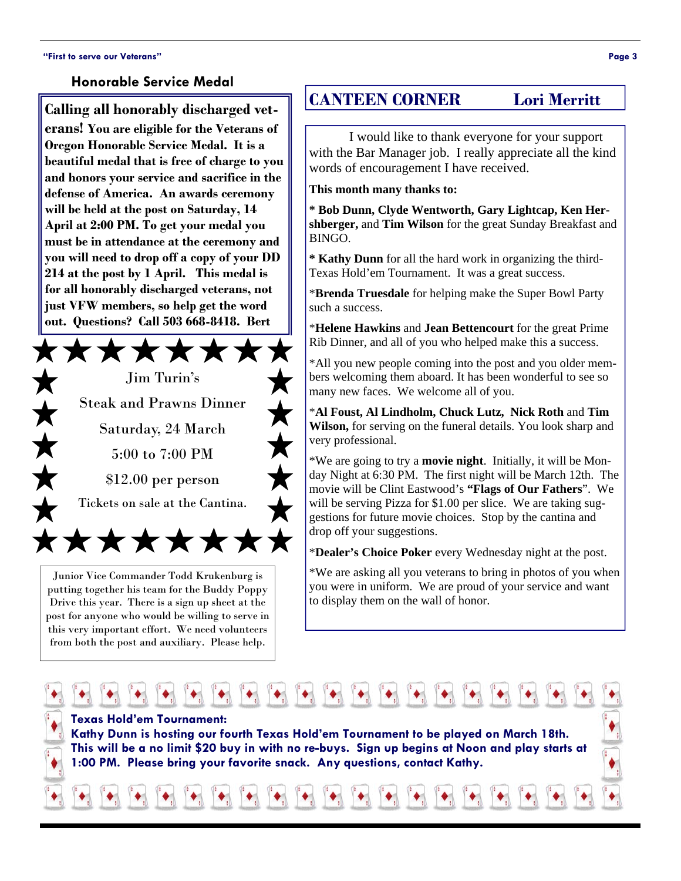### **Honorable Service Medal**

**Calling all honorably discharged veterans! You are eligible for the Veterans of Oregon Honorable Service Medal. It is a beautiful medal that is free of charge to you and honors your service and sacrifice in the defense of America. An awards ceremony will be held at the post on Saturday, 14 April at 2:00 PM. To get your medal you must be in attendance at the ceremony and you will need to drop off a copy of your DD 214 at the post by 1 April. This medal is for all honorably discharged veterans, not just VFW members, so help get the word out. Questions? Call 503 668-8418. Bert** 



Junior Vice Commander Todd Krukenburg is putting together his team for the Buddy Poppy Drive this year. There is a sign up sheet at the post for anyone who would be willing to serve in this very important effort. We need volunteers from both the post and auxiliary. Please help.

# **CANTEEN CORNER Lori Merritt**

I would like to thank everyone for your support with the Bar Manager job. I really appreciate all the kind words of encouragement I have received.

#### **This month many thanks to:**

**\* Bob Dunn, Clyde Wentworth, Gary Lightcap, Ken Hershberger,** and **Tim Wilson** for the great Sunday Breakfast and BINGO.

**\* Kathy Dunn** for all the hard work in organizing the third-Texas Hold'em Tournament. It was a great success.

\***Brenda Truesdale** for helping make the Super Bowl Party such a success.

\***Helene Hawkins** and **Jean Bettencourt** for the great Prime Rib Dinner, and all of you who helped make this a success.

\*All you new people coming into the post and you older members welcoming them aboard. It has been wonderful to see so many new faces. We welcome all of you.

\***Al Foust, Al Lindholm, Chuck Lutz, Nick Roth** and **Tim Wilson,** for serving on the funeral details. You look sharp and very professional.

will be serving Pizza for \$1.00 per slice. We are taking sug-\*We are going to try a **movie night**. Initially, it will be Monday Night at 6:30 PM. The first night will be March 12th. The movie will be Clint Eastwood's **"Flags of Our Fathers**". We gestions for future movie choices. Stop by the cantina and drop off your suggestions.

\***Dealer's Choice Poker** every Wednesday night at the post.

\*We are asking all you veterans to bring in photos of you when you were in uniform. We are proud of your service and want to display them on the wall of honor.